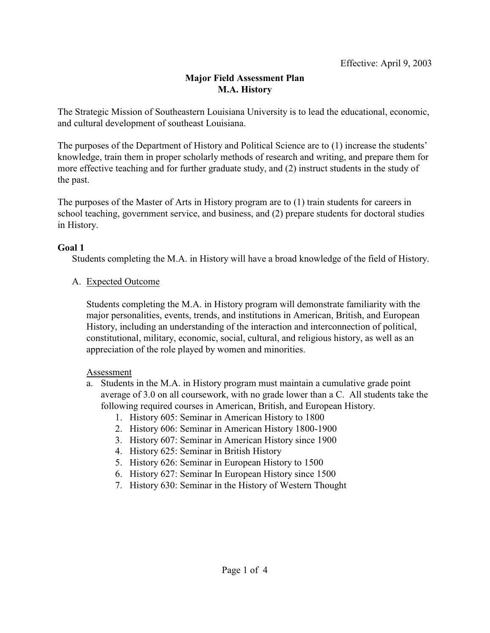# **Major Field Assessment Plan M.A. History**

The Strategic Mission of Southeastern Louisiana University is to lead the educational, economic, and cultural development of southeast Louisiana.

The purposes of the Department of History and Political Science are to (1) increase the students' knowledge, train them in proper scholarly methods of research and writing, and prepare them for more effective teaching and for further graduate study, and (2) instruct students in the study of the past.

The purposes of the Master of Arts in History program are to (1) train students for careers in school teaching, government service, and business, and (2) prepare students for doctoral studies in History.

### **Goal 1**

Students completing the M.A. in History will have a broad knowledge of the field of History.

### A. Expected Outcome

Students completing the M.A. in History program will demonstrate familiarity with the major personalities, events, trends, and institutions in American, British, and European History, including an understanding of the interaction and interconnection of political, constitutional, military, economic, social, cultural, and religious history, as well as an appreciation of the role played by women and minorities.

#### Assessment

- a. Students in the M.A. in History program must maintain a cumulative grade point average of 3.0 on all coursework, with no grade lower than a C. All students take the following required courses in American, British, and European History.
	- 1. History 605: Seminar in American History to 1800
	- 2. History 606: Seminar in American History 1800-1900
	- 3. History 607: Seminar in American History since 1900
	- 4. History 625: Seminar in British History
	- 5. History 626: Seminar in European History to 1500
	- 6. History 627: Seminar In European History since 1500
	- 7. History 630: Seminar in the History of Western Thought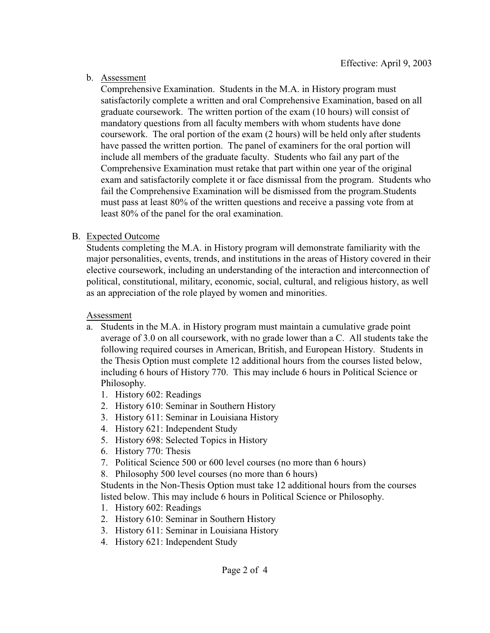b. Assessment

Comprehensive Examination. Students in the M.A. in History program must satisfactorily complete a written and oral Comprehensive Examination, based on all graduate coursework. The written portion of the exam (10 hours) will consist of mandatory questions from all faculty members with whom students have done coursework. The oral portion of the exam (2 hours) will be held only after students have passed the written portion. The panel of examiners for the oral portion will include all members of the graduate faculty. Students who fail any part of the Comprehensive Examination must retake that part within one year of the original exam and satisfactorily complete it or face dismissal from the program. Students who fail the Comprehensive Examination will be dismissed from the program.Students must pass at least 80% of the written questions and receive a passing vote from at least 80% of the panel for the oral examination.

## B. Expected Outcome

Students completing the M.A. in History program will demonstrate familiarity with the major personalities, events, trends, and institutions in the areas of History covered in their elective coursework, including an understanding of the interaction and interconnection of political, constitutional, military, economic, social, cultural, and religious history, as well as an appreciation of the role played by women and minorities.

#### Assessment

- a. Students in the M.A. in History program must maintain a cumulative grade point average of 3.0 on all coursework, with no grade lower than a C. All students take the following required courses in American, British, and European History. Students in the Thesis Option must complete 12 additional hours from the courses listed below, including 6 hours of History 770. This may include 6 hours in Political Science or Philosophy.
	- 1. History 602: Readings
	- 2. History 610: Seminar in Southern History
	- 3. History 611: Seminar in Louisiana History
	- 4. History 621: Independent Study
	- 5. History 698: Selected Topics in History
	- 6. History 770: Thesis
	- 7. Political Science 500 or 600 level courses (no more than 6 hours)
	- 8. Philosophy 500 level courses (no more than 6 hours)

Students in the Non-Thesis Option must take 12 additional hours from the courses listed below. This may include 6 hours in Political Science or Philosophy.

- 1. History 602: Readings
- 2. History 610: Seminar in Southern History
- 3. History 611: Seminar in Louisiana History
- 4. History 621: Independent Study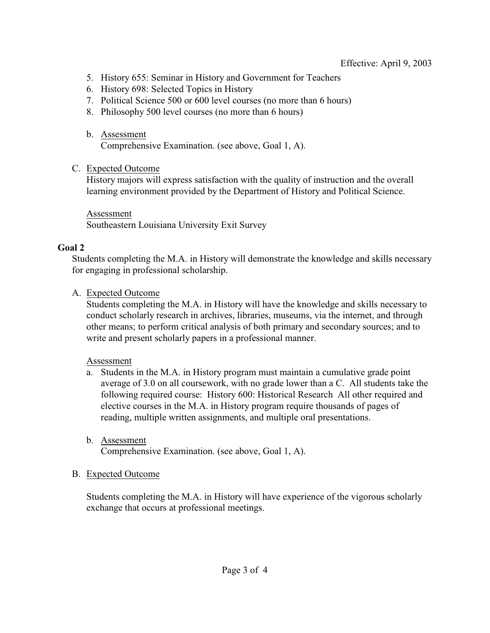- 5. History 655: Seminar in History and Government for Teachers
- 6. History 698: Selected Topics in History
- 7. Political Science 500 or 600 level courses (no more than 6 hours)
- 8. Philosophy 500 level courses (no more than 6 hours)
- b. Assessment

Comprehensive Examination. (see above, Goal 1, A).

#### C. Expected Outcome

History majors will express satisfaction with the quality of instruction and the overall learning environment provided by the Department of History and Political Science.

# Assessment

Southeastern Louisiana University Exit Survey

### **Goal 2**

Students completing the M.A. in History will demonstrate the knowledge and skills necessary for engaging in professional scholarship.

## A. Expected Outcome

Students completing the M.A. in History will have the knowledge and skills necessary to conduct scholarly research in archives, libraries, museums, via the internet, and through other means; to perform critical analysis of both primary and secondary sources; and to write and present scholarly papers in a professional manner.

### Assessment

a. Students in the M.A. in History program must maintain a cumulative grade point average of 3.0 on all coursework, with no grade lower than a C. All students take the following required course: History 600: Historical Research All other required and elective courses in the M.A. in History program require thousands of pages of reading, multiple written assignments, and multiple oral presentations.

### b. Assessment

Comprehensive Examination. (see above, Goal 1, A).

### B. Expected Outcome

Students completing the M.A. in History will have experience of the vigorous scholarly exchange that occurs at professional meetings.